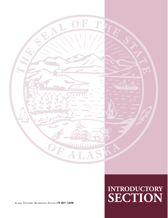

### **INTRODUCTORY ALASKA TEACHERS' RETIREMENT SYSTEM** • **FY 2011 CAFR SECTION**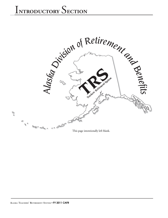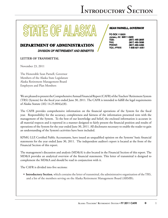# STATE OF ALA

#### **DEPARTMENT OF ADMINISTRATION**

**DIVISION OF RETIREMENT AND BENEFITS** 

#### **LETTER OF TRANSMITTAL**

November 23, 2011

The Honorable Sean Parnell, Governor Members of the Alaska State Legislature Alaska Retirement Management Board Employers and Plan Members

We are pleased to present the Comprehensive Annual Financial Report (CAFR) of the Teachers' Retirement System (TRS) (System) for the fiscal year ended June 30, 2011. The CAFR is intended to fulfill the legal requirements of Alaska Statute (AS) 14.25.004(a)(8).

The CAFR provides comprehensive information on the financial operations of the System for the fiscal year. Responsibility for the accuracy, completeness and fairness of the information presented rests with the management of the System. To the best of our knowledge and belief, the enclosed information is accurate in all material respects and is reported in a manner designed to fairly present the financial position and results of operations of the System for the year ended June 30, 2011. All disclosures necessary to enable the reader to gain an understanding of the System's activities have been included.

KPMG LLP, Certified Public Accountants, have issued an unqualified opinion on the Systems' basic financial statements for the year ended June 30, 2011. The independent auditor's report is located at the front of the Financial Section of this report.

The management's discussion and analysis (MD&A) is also located in the Financial Section of this report. The MD&A provides an analytical overview of the financial statements. This letter of transmittal is designed to complement the MD&A and should be read in conjunction with it.

The CAFR is divided into five sections:

**• Introductory Section**, which contains the letter of transmittal, the administrative organization of the TRS, and a list of the members serving on the Alaska Retirement Management Board (ARMB);

#### **SEAN PARNELL, GOVERNOR**

PO BOX 110203 Juneau, AK 99811-0203 TDD: (907) 465-2805 FAX: (907) 465-3086 PHONE: (907) 465-4460 TOLL-FREE: 1-800-821-2251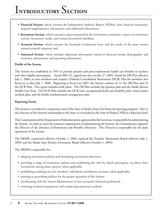- Financial Section, which contains the Independent Auditor's Report, MD&A, basic financial statements, required supplementary information, and additional information;
- **Investment Section**, which contains a report prepared by the investment consultant, a report on investment activity, investment results, and various investment schedules;
- Actuarial Section, which contains the Actuarial Certification letter and the results of the most current annual actuarial valuation; and
- Statistical Section, which includes additional information related to financial trends, demographic and economic information, and operating information.

#### **Profile of the System**

The System was established in 1955 to provide pension and post-employment health care benefits to teachers and other eligible participants. Senate Bill 141, signed into law on July 27, 2005, closed the DB Plan effective July 1, 2006, to new members and created a Defined Contribution Retirement (DCR) Plan for members first hired on or after July 1, 2006. Beginning in fiscal year 2007, the System consists of: (1) the DB Plan and (2) the DCR Plan. This report includes both plans. The DB Plan includes the pension plan and the Alaska Retiree Health Care Trust. The DCR Plan includes the DCR trust, occupational death and disability plan, retiree major medical plan, and the health reimbursement arrangement plan.

#### **Reporting Entity**

The System is considered a component unit of the State of Alaska (State) for financial reporting purposes. Due to the closeness of the System's relationship to the State, it is included in the State of Alaska CAFR as a fiduciary fund.

The Commissioner of the Department of Administration, appointed by the Governor, is responsible for administering the System. In order to meet the statutory requirements of administering the System, the Commissioner appoints the Director of the Division of Retirement and Benefits (Division). The Director is responsible for the daily operations of the System.

The ARMB, constituted effective October 1, 2005, replaced the Teachers' Retirement Board (effective July 1, 2005) and the Alaska State Pension Investment Board (effective October 1, 2005).

The ARMB is responsible for:

- adopting investment policies and developing investment objectives;
- providing a range of investment options and establishing the rules by which participants can direct their investments among those options, when applicable;
- establishing crediting rates for members' individual contribution accounts, when applicable;
- assisting in prescribing policies for the proper operation of the System;
- coordinating with the System Administrator to have actuarial valuations performed;
- reviewing actuarial assumptions and conducting experience analyses;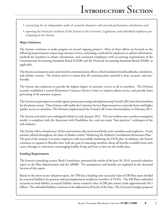- contracting for an independent audit of actuarial valuations and external performance calculations; and
- reporting the financial condition of the System to the Governor, Legislature, and individual employers participating in the System.

#### **Major Initiatives**

The System continues to make progress on several ongoing projects. Most of these efforts are focused on the following improvements: improving customer service, technology, methods for employers to submit information, methods for members to obtain information, and continued compliance with accounting requirements of the Governmental Accounting Standards Board (GASB) and the Financial Accounting Standards Board (FASB), as applicable.

The System continues to assess and retool its communication efforts, which include printed handbooks, newsletters, and website content. The System strives to ensure that all communication material is clear, accurate, and userfriendly.

The System also endeavors to provide the highest degree of customer service to all its members. The Division recently established a central Retirement Customer Service Center to improve phone service and provide faster processing of all customer requests.

The System is a participant in a multi-agency project procuring and implementing Virtual Call Center functionalities for the phone system. These features will enable the Customer Service Representatives to provide faster and higher quality service to members. The Division implemented the Virtual Call Center functionalities in February 2011.

The System activated a new redesigned website in early January 2011. The new website uses a modern navigation model, is compliant with the Americans with Disabilities Act, and uses many "best practices" techniques of the web industry.

The System offers a broad array of fairs and seminars directed toward both active members and employers. A new seminar offered throughout the State of Alaska is titled "Marketing the Defined Contribution Retirement Plan." The goal of the seminar is to assist employers with successfully marketing the DCR plan. In addition, the System continues to expand its Benefits Fairs with the goal of educating members about all benefits available from early career through to retirement, encouraging healthy living and how to best use the health plan.

#### **Funding Requirements**

The System's consulting actuary, Buck Consultants, presented the results of the June 30, 2010, actuarial valuation report to the Plan Administrator and the ARMB. The assumptions and benefits are explained in the Actuarial Section of this report.

Based on the most recent valuation report, the TRS has a funding ratio (actuarial value of DB Plan assets divided by actuarial liabilities for pension and postemployment healthcare benefits) of 53.6%. The DB Plan's unfunded actuarial accrued liability (actuarial liability minus actuarial value of DB plan assets) totals approximately \$4.1 billion. The unfunded liability continues to be addressed at all levels of the State. The Governor's budget proposes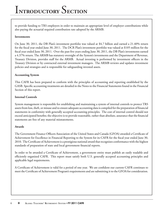to provide funding to TRS employers in order to maintain an appropriate level of employer contributions while also paying the actuarial required contribution rate adopted by the ARMB.

#### **Investments**

On June 30, 2011, the DB Plan's investment portfolio was valued at \$4.7 billion and earned a 21.40% return for the fiscal year ended June 30, 2011. The DCR Plan's investment portfolio was valued at \$105 million for the fiscal year ended June 30, 2011. Over the past five years ending June 30, 2011, the DB Plan's investments earned a 4.37% return. The ARMB has statutory oversight of the System's investments and the Department of Revenue, Treasury Division, provides staff for the ARMB. Actual investing is performed by investment officers in the Treasury Division or by contracted external investment managers. The ARMB reviews and updates investment policies and strategies and is responsible for safeguarding invested assets.

#### **Accounting System**

This CAFR has been prepared to conform with the principles of accounting and reporting established by the GASB. Specific accounting treatments are detailed in the Notes to the Financial Statements found in the Financial Section of this report.

#### **Internal Controls**

System management is responsible for establishing and maintaining a system of internal controls to protect TRS assets from loss, theft, or misuse and to ensure adequate accounting data is compiled for the preparation of financial statements in conformity with generally accepted accounting principles. The cost of internal control should not exceed anticipated benefits; the objective is to provide reasonable, rather than absolute, assurance that the financial statements are free of any material misstatements.

#### **Awards**

The Government Finance Officers Association of the United States and Canada (GFOA) awarded a Certificate of Achievement for Excellence in Financial Reporting to the System for its CAFR for the fiscal year ended June 30, 2010. The Certificate of Achievement is a prestigious national award that recognizes conformance with the highest standards of preparation of state and local government financial reports.

In order to be awarded a Certificate of Achievement, a government entity must publish an easily readable and efficiently organized CAFR. This report must satisfy both U.S. generally accepted accounting principles and applicable legal requirements.

A Certificate of Achievement is valid for a period of one year. We are confident our current CAFR continues to meet the Certificate of Achievement Program's requirements and are submitting it to the GFOA for consideration.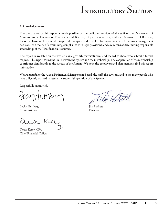#### **Acknowledgements**

The preparation of this report is made possible by the dedicated services of the staff of the Department of Administration, Division of Retirement and Benefits, Department of Law, and the Department of Revenue, Treasury Division. It is intended to provide complete and reliable information as a basis for making management decisions, as a means of determining compliance with legal provisions, and as a means of determining responsible stewardship of the TRS financial resources.

The report is available on the web at alaska.gov/drb/trs/trscafr.html and mailed to those who submit a formal request. This report forms the link between the System and the membership. The cooperation of the membership contributes significantly to the success of the System. We hope the employers and plan members find this report informative.

We are grateful to the Alaska Retirement Management Board, the staff, the advisors, and to the many people who have diligently worked to assure the successful operation of the System.

Respectfully submitted,

Pachythithe

Becky Hultberg Jim Puckett Commissioner Director

Kese

Teresa Kesey, CPA Chief Financial Officer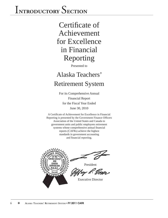Certificate of Achievement for Excellence in Financial Reporting

Presented to

### Alaska Teachers' Retirement System

For its Comprehensive Annual Financial Report for the Fiscal Year Ended June 30, 2010

A Certificate of Achievement for Excellence in Financial Reporting is presented by the Government Finance Officers Association of the United States and Canada to government units and public employees retirement systems whose comprehensive annual financial reports (CAFRs) achieve the highest standards in government accounting and financial reporting.



Executive Director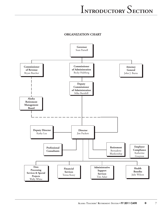#### **ORGANIZATION CHART**

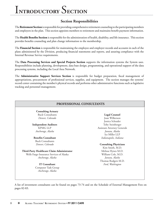#### **Section Responsibilities**

The **Retirement Section** is responsible for providing comprehensive retirement counseling to the participating members and employers in the plan. This section appoints members to retirement and maintains benefi t payment information.

The Health Benefits Section is responsible for the administration of health, disability, and life insurance. This section provides benefits counseling and plan change information to the membership.

The **Financial Section** is responsible for maintaining the employee and employer records and accounts in each of the plans administered by the Division, producing financial statements and reports, and assuring compliance with the Internal Revenue Service requirements.

The **Data Processing Services and Special Projects Section** supports the information systems the System uses. Responsibilities include planning, development, data base design, programming, and operational support of the data processing systems, including the Local Area Network.

The **Administrative Support Services Section** is responsible for budget preparation, fiscal management of appropriations, procurement of professional services, supplies, and equipment. The section manages the systems' record center containing the member's physical records and performs other administrative functions such as legislative tracking and personnel management.

#### **PROFESSIONAL CONSULTANTS Consulting Actuary** Buck Consultants *Denver, Colorado*  **Independent Auditors** KPMG LLP *Anchorage, Alaska* **Benefits Consultant**  Buck Consultants *Denver, Colorado* **Third-Party Healthcare Claim Administrator** Wells Fargo Insurance Services of Alaska *Anchorage, Alaska* **IT Consultant** Computer Task Group *Anchorage, Alaska* **Legal Counsel** Joan Wilkerson Jessica Schrader Toby Steinberger Assistant Attorney Generals *Juneau, Alaska* Ice Miller LLP *Indianapolis, Indiana* **Consulting Physicians** Kim Smith, M.D. Melissa Hynes M.D. William Cole, M.D. *Juneau, Alaska* Thomas Rodgers M.D. *Ford, Washington*

A list of investment consultants can be found on pages 73-74 and on the Schedule of External Management Fees on pages 82-83.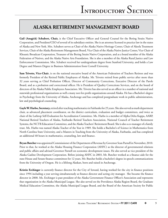#### **ALASKA RETIREMENT MANAGEMENT BOARD**

Gail (Anagick) Schubert, Chair, is the Chief Executive Officer and General Counsel for the Bering Straits Native Corporation, and President/CEO of several of its subsidiary entities. She is an attorney licensed to practice law in the states of Alaska and New York. Mrs. Schubert serves as Chair of the Alaska Native Heritage Center, Chair of Akeela Treatment Services, Chair of the Alaska Retirement Management Board, Vice Chair of the Alaska Native Justice Center, Vice Chair of Khoanic Broadcast Corporation, Treasurer of the Bering Straits Native Corporation, and as a board member of the Alaska Federation of Natives, and the Alaska Native Arts Foundation. She is also a member of the Alaska Rural Justice and Law Enforcement Commission. Mrs. Schubert received her undergraduate degree from Stanford University, and holds a Law Degree and Masters Degree in Business Administration from Cornell University.

**Sam Trivette, Vice-Chair**, is on the national executive board of the American Federation of Teachers Retirees and was formerly President of the Retired Public Employees of Alaska. Mr. Trivette retired from public service after more than 32 years serving as Chief Probation Officer, Director of Community Corrections, Executive Director of the Parole Board, and as a probation and correctional officer. He is President of Quality Corrections Services, and on the board of directors of the Alaska Public Employees Association. Mr. Trivette has also served as an officer in a number of national and statewide professional organizations as well a many not-for-profi t organizations around Alaska. He has a Bachelor's degree in Psychology from the University of Alaska, Anchorage and has completed postgraduate work in public administration, law and psychological counseling.

**Gayle W. Harbo, Secretary,** retired after teaching mathematics in Fairbanks for 25 years. She also served as math department chair, as advanced placement coordinator, on the district curriculum, evaluation and budget committees, and twice as chair of the Lathrop Self-Evaluation for Accreditation Committee. Ms. Harbo is a member of Alpha Delta Kappa, AARP, National Retired Teachers of Alaska, Fairbanks Retired Teachers Association, National Council of Teacher Retirement Systems, the NCTR Education Committee, and the Alaska Teachers' Retirement Board. She is also a co-manager of a family trust. Ms. Harbo was named Alaska Teacher of the Year in 1989. She holds a Bachelor's of Science in Mathematics from North Carolina State University, and a Masters in Teaching from the University of Alaska, Fairbanks, and has completed an additional 40 hours in mathematics, counseling, law and finance.

**Bryan Butcher** was appointed Commissioner of the Department of Revenue by Governor Sean Parnell in November, 2010. Prior to that, he worked at the Alaska Housing Finance Corporation (AHFC) as the director of governmental relations and public affairs and advised Governor Parnell on economic development issues. He also served as vice president of the Alaska Gasline Development Corporation. Before joining AHFC in 2003, Mr. Butcher worked as a finance aide for the state House and Senate finance committees for 12 years. Mr. Butcher holds a bachelor's degree in speech communications from the University of Oregon. He is a lifelong Alaskan, born and raised in Anchorage.

**Kristin Erchinger** is currently finance director for the City of Seward, having worked for the city in finance positions since 1994 including a year serving simultaneously as finance director and acting city manager. She became the finance director in 2000. Ms. Erchinger is past president of the Alaska Government Finance Officer's Association and represents that organization in the Alaska Municipal League. She also served on the Providence Alaska Region Board, the Graduate Medical Education Committee, the Alaska Municipal League Board, and the Board of the American Society for Public